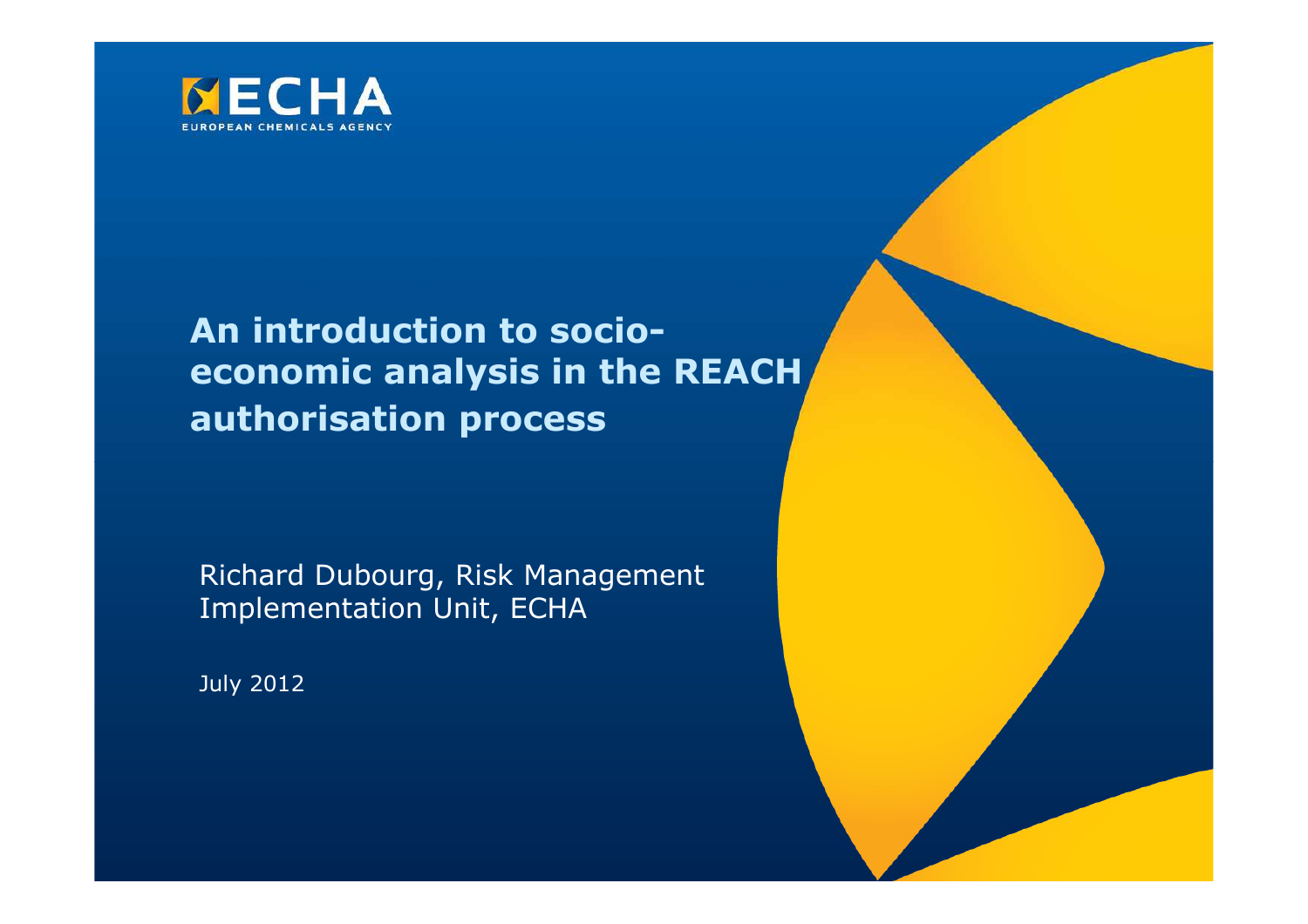

### **An introduction to socioeconomic analysis in the REACH authorisation process**

Richard Dubourg, Risk Management Implementation Unit, ECHA

July 2012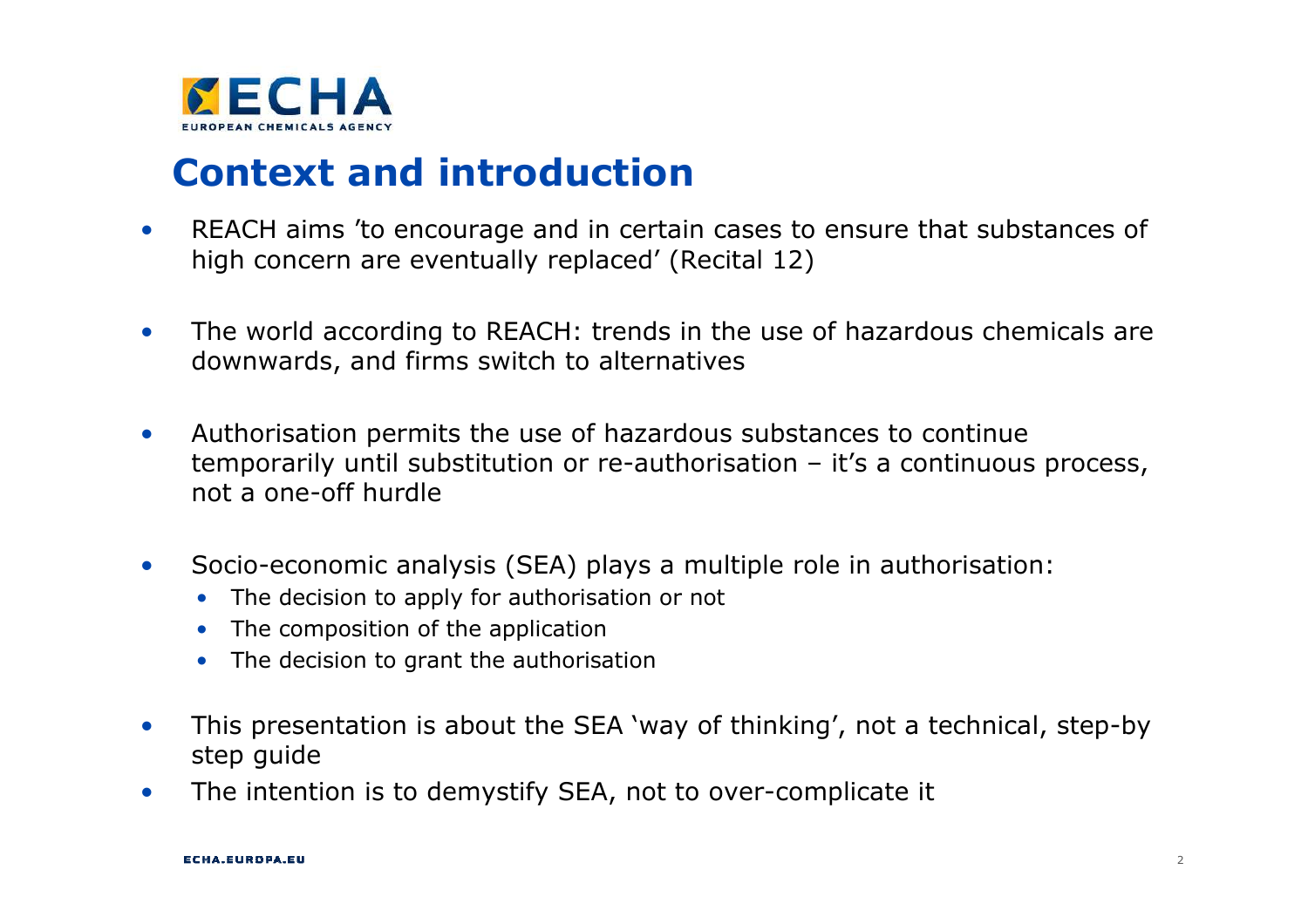

### **Context and introduction**

- $\bullet$  REACH aims 'to encourage and in certain cases to ensure that substances of high concern are eventually replaced' (Recital 12)
- $\bullet$  The world according to REACH: trends in the use of hazardous chemicals are downwards, and firms switch to alternatives
- • Authorisation permits the use of hazardous substances to continue temporarily until substitution or re-authorisation – it's a continuous process, not a one-off hurdle
- • Socio-economic analysis (SEA) plays a multiple role in authorisation:
	- The decision to apply for authorisation or not
	- The composition of the application
	- The decision to grant the authorisation
- • This presentation is about the SEA 'way of thinking', not a technical, step-by step guide
- $\bullet$ The intention is to demystify SEA, not to over-complicate it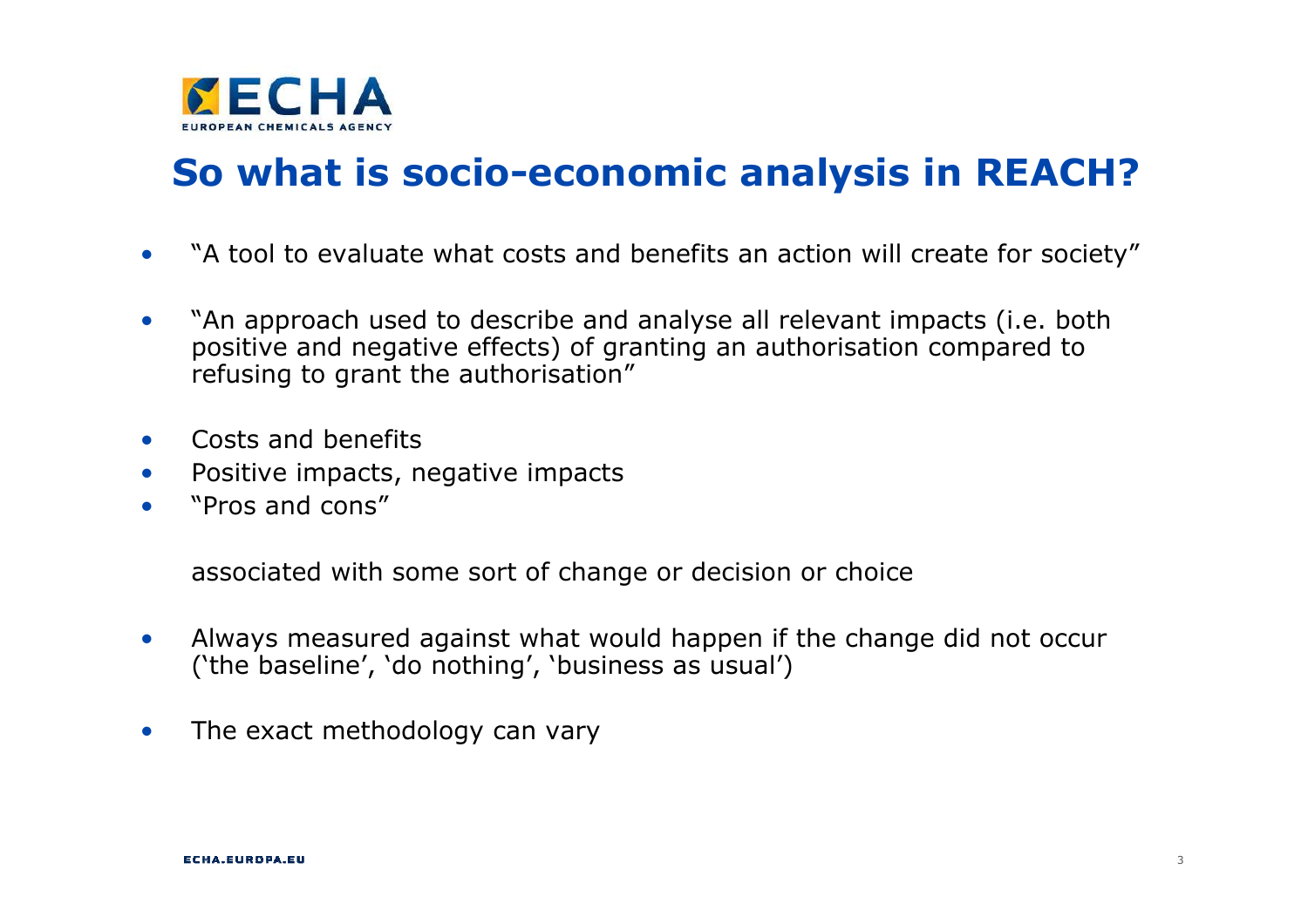

### **So what is socio-economic analysis in REACH?**

- •"A tool to evaluate what costs and benefits an action will create for society"
- • "An approach used to describe and analyse all relevant impacts (i.e. both positive and negative effects) of granting an authorisation compared to refusing to grant the authorisation"
- •Costs and benefits
- •Positive impacts, negative impacts
- •"Pros and cons"

associated with some sort of change or decision or choice

- • Always measured against what would happen if the change did not occur ('the baseline', 'do nothing', 'business as usual')
- •The exact methodology can vary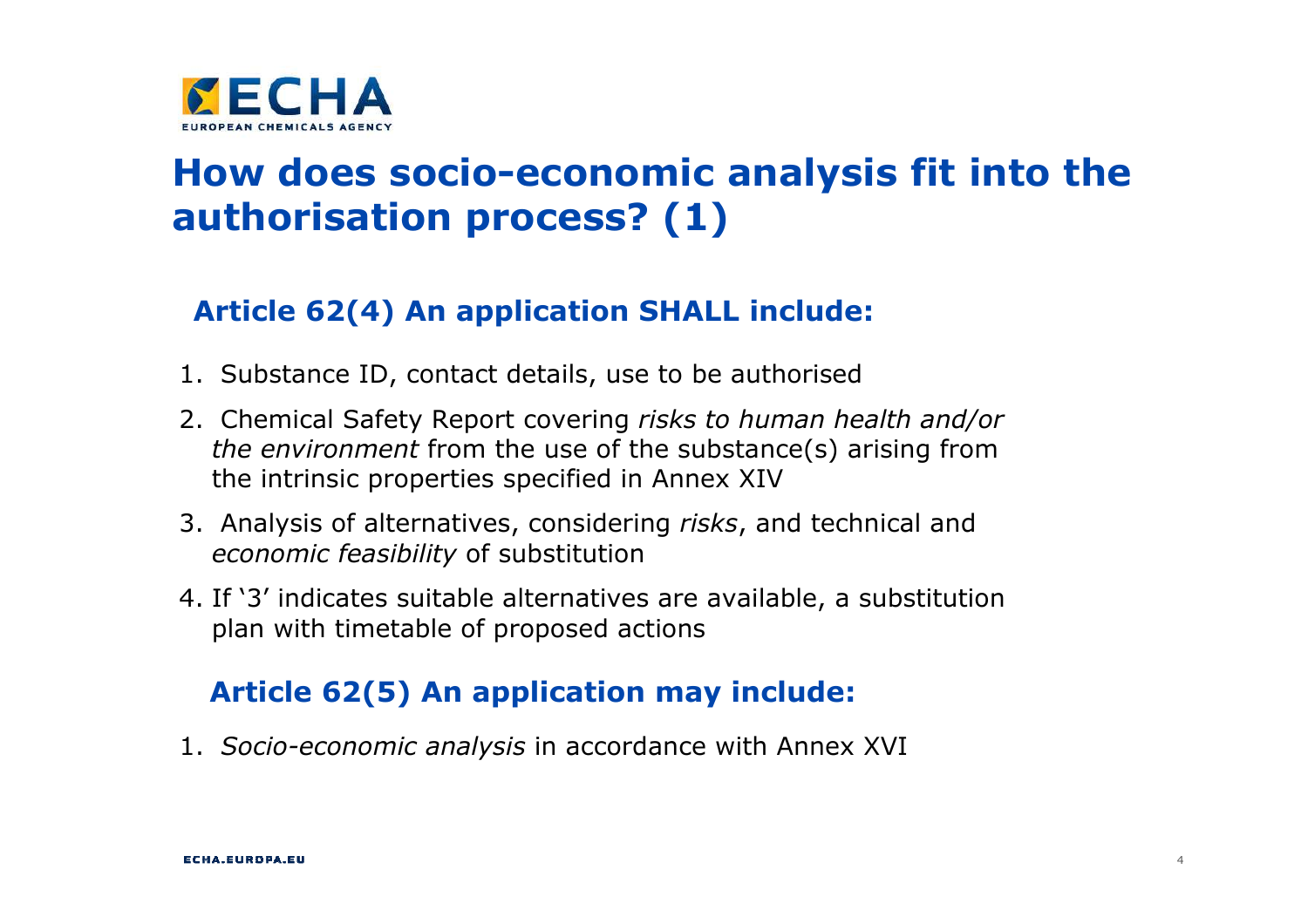

### **How does socio-economic analysis fit into the authorisation process? (1)**

#### **Article 62(4) An application SHALL include:**

- 1. Substance ID, contact details, use to be authorised
- 2. Chemical Safety Report covering *risks to human health and/or the environment* from the use of the substance(s) arising from the intrinsic properties specified in Annex XIV
- 3. Analysis of alternatives, considering *risks*, and technical and *economic feasibility* of substitution
- 4. If '3' indicates suitable alternatives are available, a substitution plan with timetable of proposed actions

#### **Article 62(5) An application may include:**

1. *Socio-economic analysis* in accordance with Annex XVI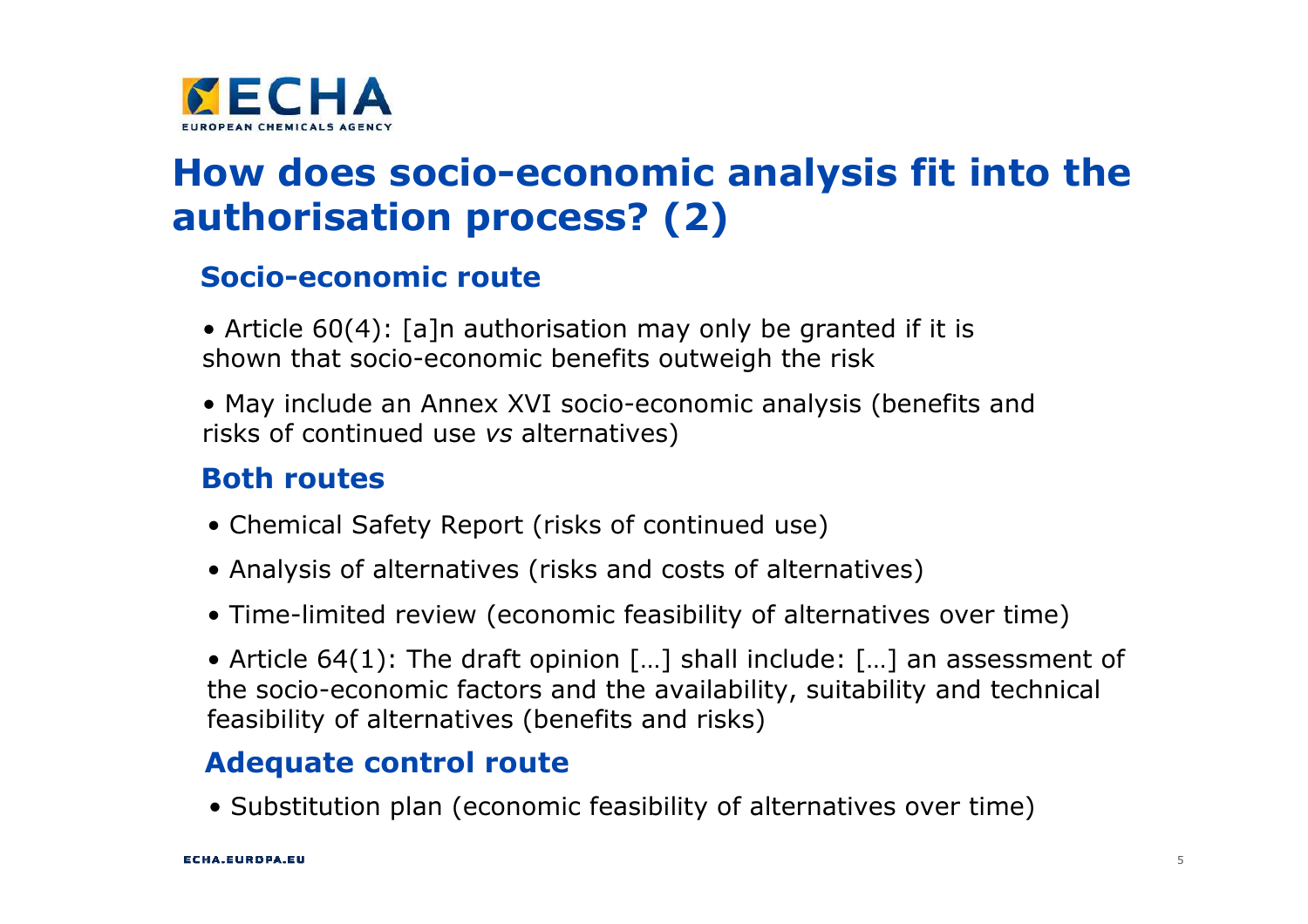

## **How does socio-economic analysis fit into the authorisation process? (2)**

#### **Socio-economic route**

- Article 60(4): [a]n authorisation may only be granted if it is shown that socio-economic benefits outweigh the risk
- May include an Annex XVI socio-economic analysis (benefits and<br>risks of continued use vs alternatives) risks of continued use *vs* alternatives)

#### **Both routes**

- Chemical Safety Report (risks of continued use)
- Analysis of alternatives (risks and costs of alternatives)
- Time-limited review (economic feasibility of alternatives over time)

• Article 64(1): The draft opinion [...] shall include: [...] an assessment of<br>the socio-economic factors and the availability, suitability and technical the socio-economic factors and the availability, suitability and technicalfeasibility of alternatives (benefits and risks)

#### **Adequate control route**

• Substitution plan (economic feasibility of alternatives over time)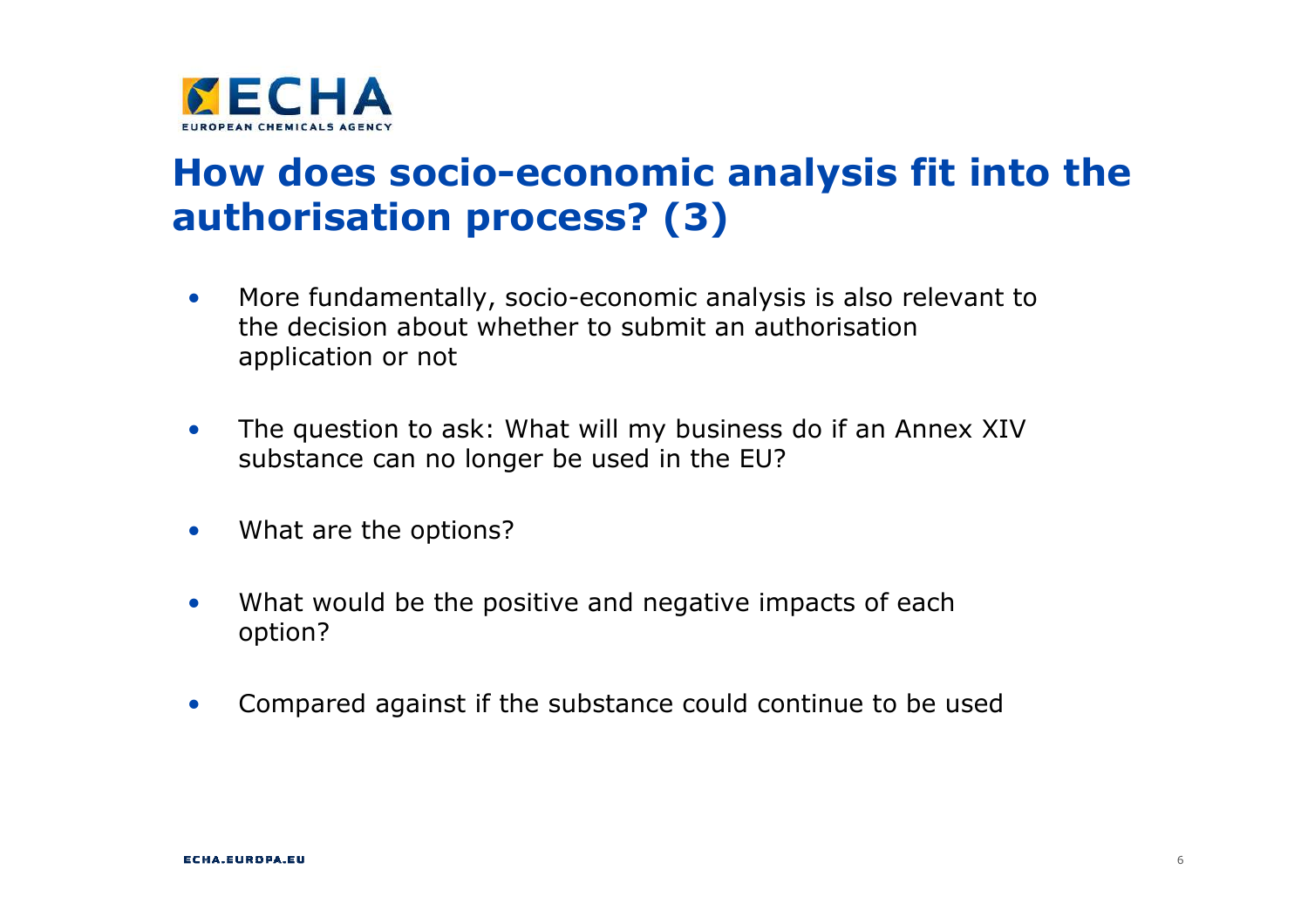

### **How does socio-economic analysis fit into the authorisation process? (3)**

- $\bullet$  More fundamentally, socio-economic analysis is also relevant to the decision about whether to submit an authorisation application or not
- $\bullet$  The question to ask: What will my business do if an Annex XIV substance can no longer be used in the EU?
- $\bullet$ What are the options?
- $\bullet$  What would be the positive and negative impacts of each option?
- $\bullet$ Compared against if the substance could continue to be used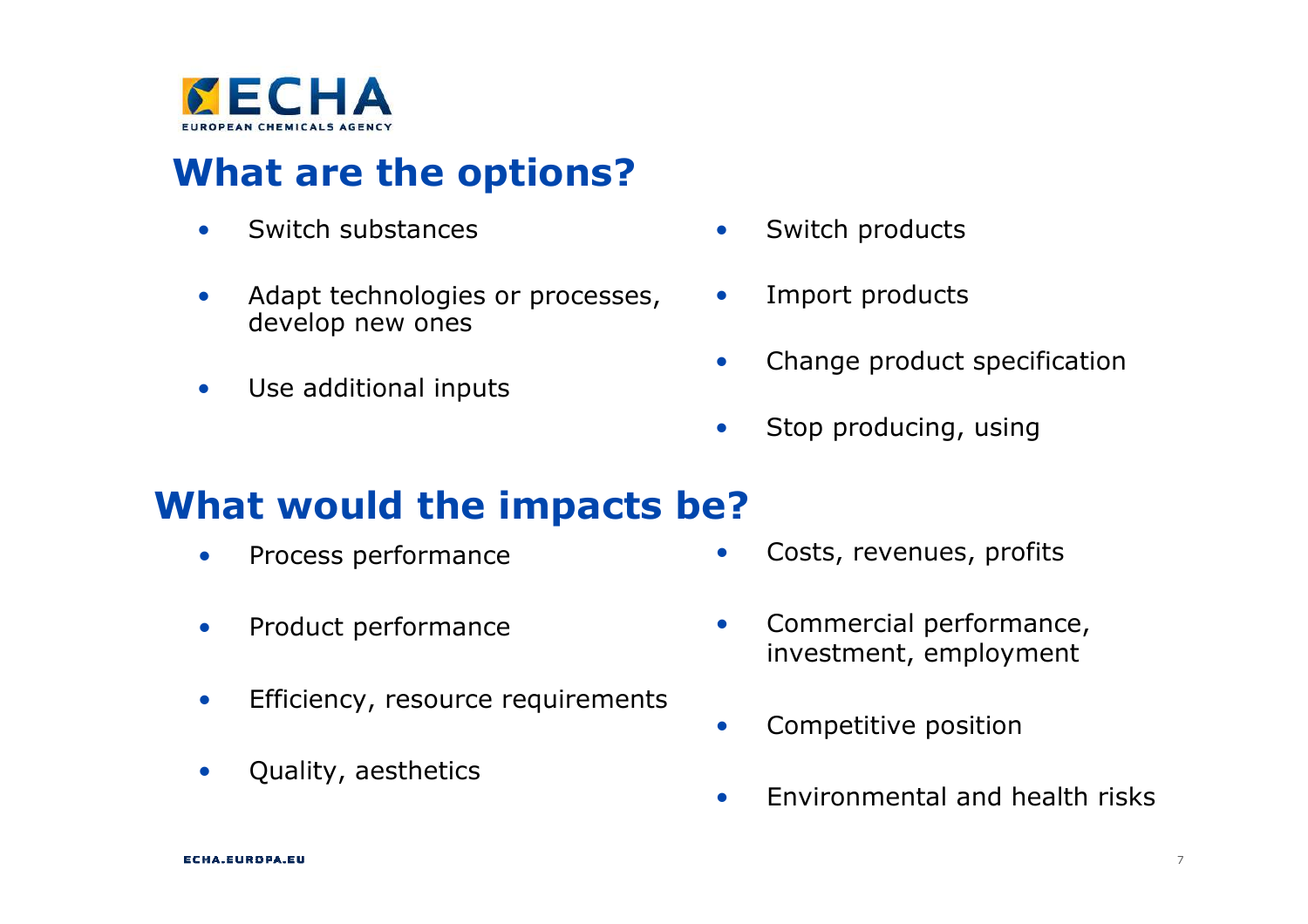

### **What are the options?**

- •Switch substances
- • Adapt technologies or processes, develop new ones
- •Use additional inputs
- $\bullet$ Switch products
- •Import products
- •Change product specification
- •Stop producing, using

### **What would the impacts be?**

- •Process performance
- •Product performance
- •Efficiency, resource requirements
- $\bullet$ Quality, aesthetics
- •Costs, revenues, profits
- • Commercial performance, investment, employment
- •Competitive position
- $\bullet$ Environmental and health risks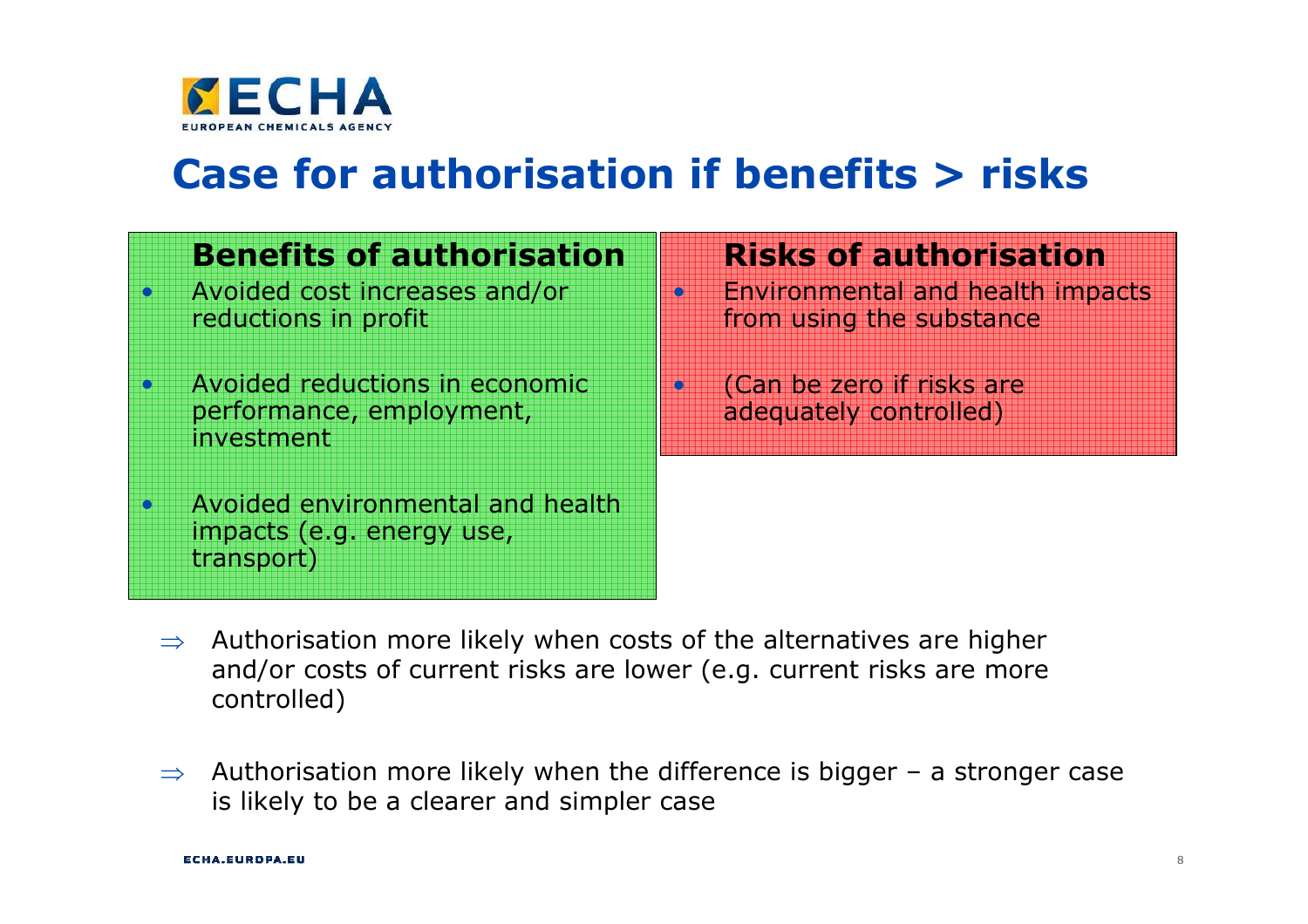

•

 $\bullet$ 

 $\bullet$ 

# **Case for authorisation if benefits > risks**

•

•

#### **Benefits of authorisation**

 Avoided cost increases and/or reductions in profit

 Avoided reductions in economic performance, employment, investment

 Avoided environmental and health impacts (e.g. energy use, transport)

#### **Risks of authorisation**

**•** Environmental and health impacts from using the substance

 (Can be zero if risks are adequately controlled)

- $\Rightarrow$  Authorisation more likely when costs of the alternatives are higher<br>and/or costs of current risks are lower (e.g. current risks are more and/or costs of current risks are lower (e.g. current risks are more controlled)
- $\Rightarrow$  Authorisation more likely when the difference is bigger a stronger case<br>is likely to be a clearer and simpler case is likely to be a clearer and simpler case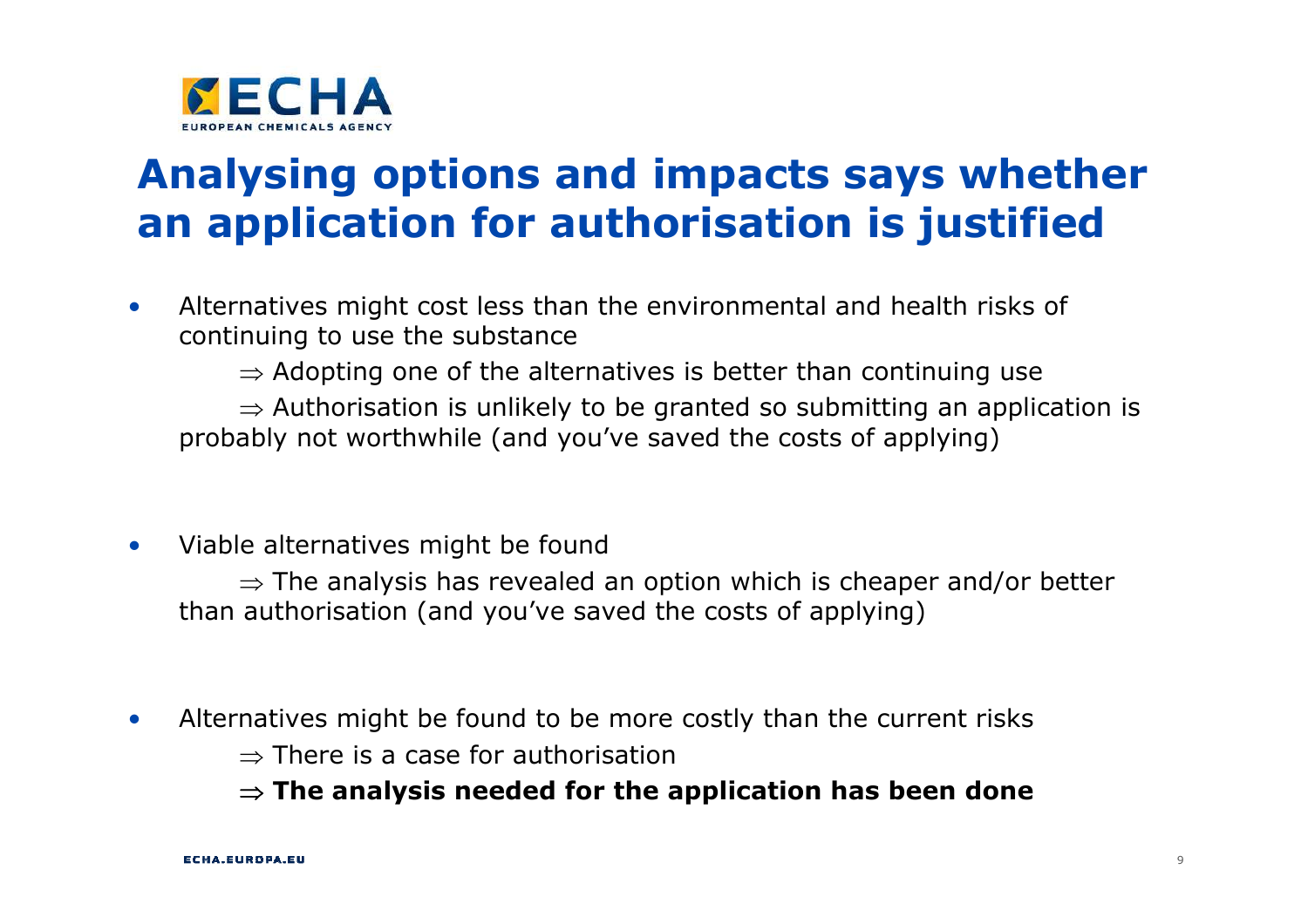

# **Analysing options and impacts says whether an application for authorisation is justified**

- • Alternatives might cost less than the environmental and health risks of continuing to use the substance
	- ⇒ Adopting one of the alternatives is better than continuing use<br>→ Authoriastion is unlikely to be smated as submitting an anali

⇒ Authorisation is unlikely to be granted so submitting an application is<br>ably not worthwhile (and you've saved the costs of annlying) probably not worthwhile (and you've saved the costs of applying)

•Viable alternatives might be found

> ⇒ The analysis has revealed an option which is cheaper and/or better and/or better than authorisation (and you've saved the costs of applying)

- • Alternatives might be found to be more costly than the current risks
	- ⇒ There is a case for authorisation<br>→ The analysis needed for the r

⇒ **The analysis needed for the application has been done**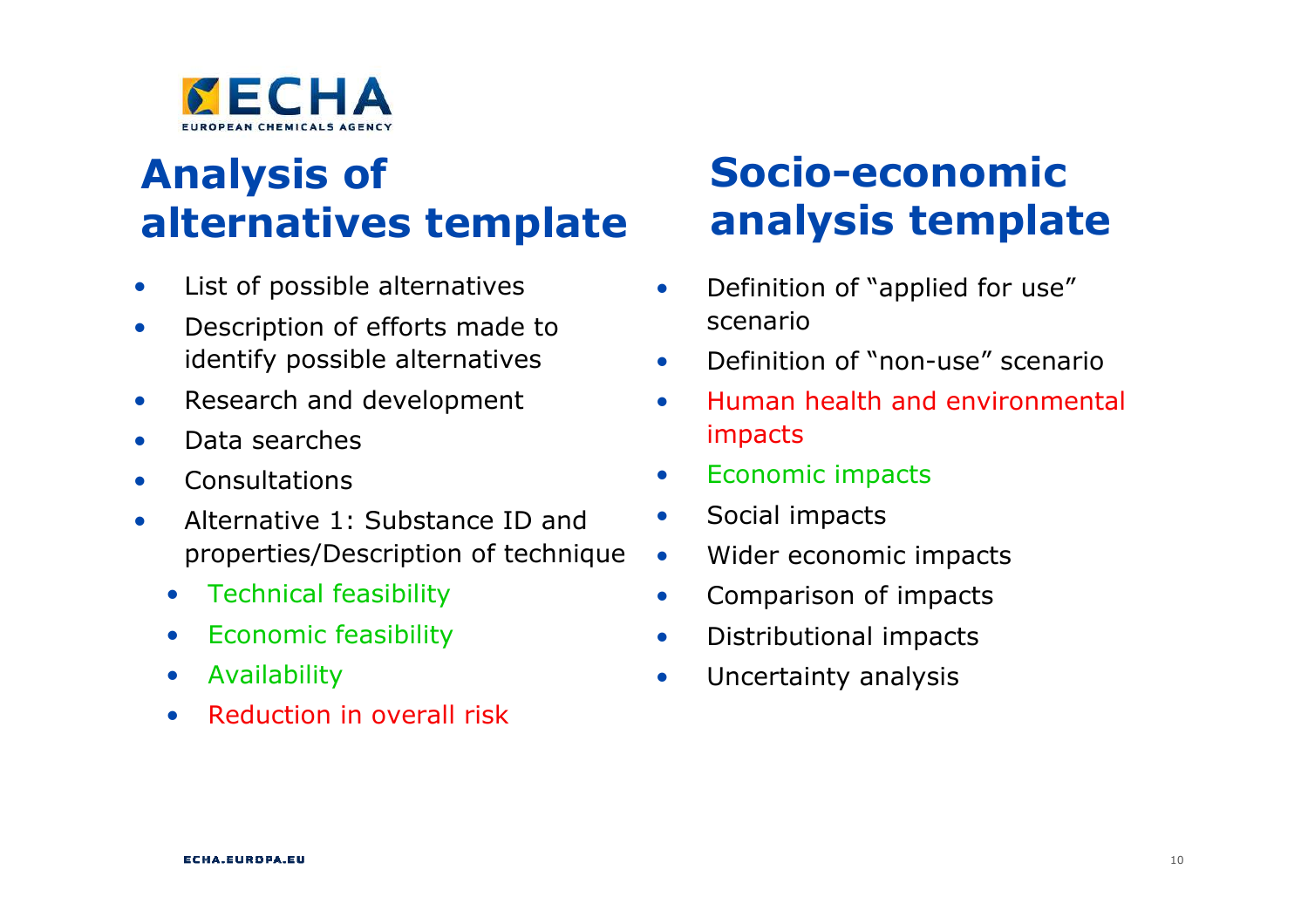

## **Analysis of alternatives template**

- $\bullet$ List of possible alternatives
- $\bullet$  Description of efforts made to identify possible alternatives
- $\bullet$ Research and development
- $\bullet$ Data searches
- $\bullet$ Consultations
- • Alternative 1: Substance ID and properties/Description of technique
	- $\bullet$ Technical feasibility
	- $\bullet$ Economic feasibility
	- $\bullet$ Availability
	- •Reduction in overall risk

# **Socio-economic analysis template**

- $\bullet$  Definition of "applied for use" scenario
- $\bullet$ Definition of "non-use" scenario
- $\bullet$  Human health and environmental impacts
- $\bullet$ Economic impacts
- $\bullet$ Social impacts
- $\bullet$ Wider economic impacts
- $\bullet$ Comparison of impacts
- $\bullet$ Distributional impacts
- $\bullet$ Uncertainty analysis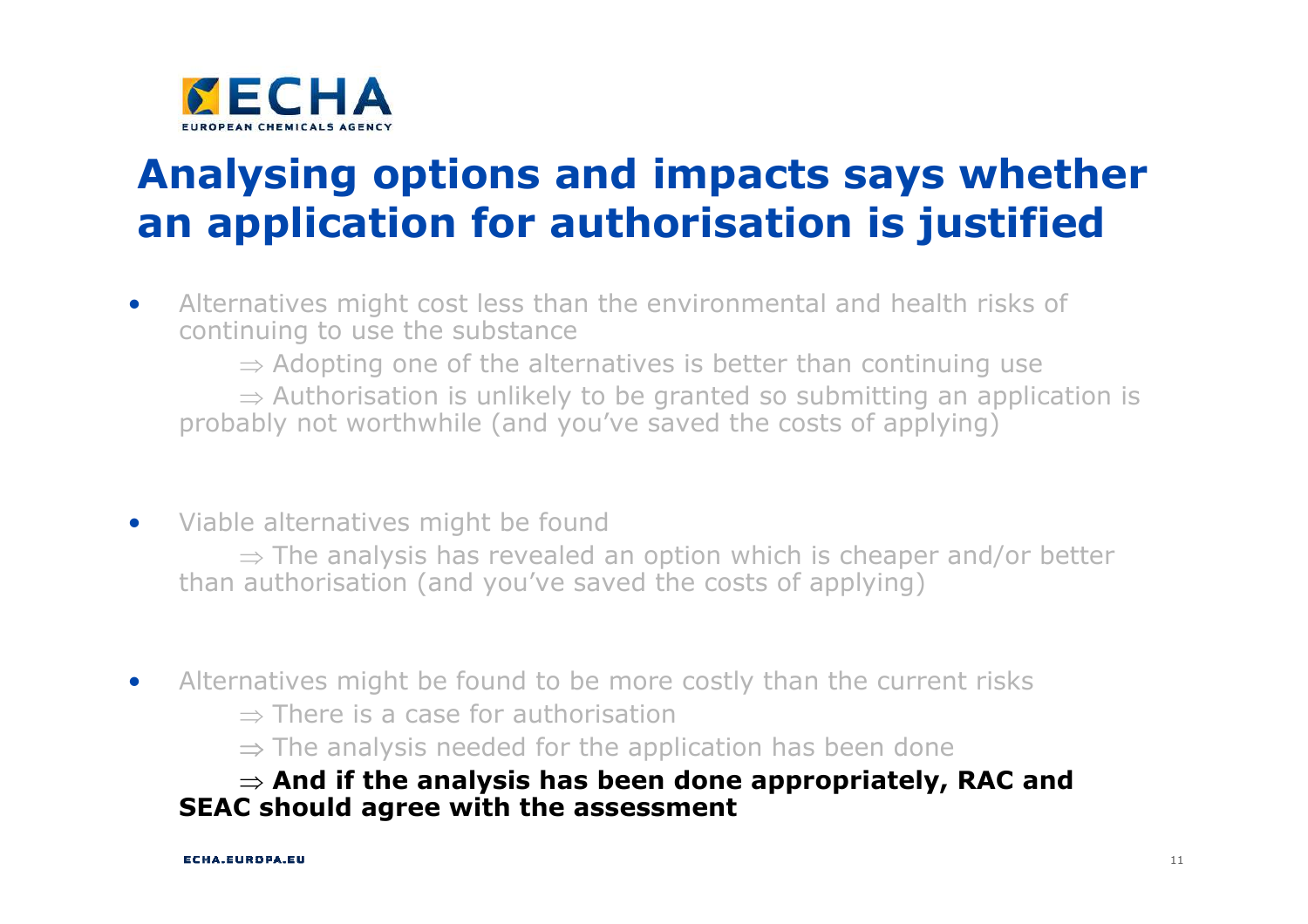

# **Analysing options and impacts says whether an application for authorisation is justified**

- • Alternatives might cost less than the environmental and health risks of continuing to use the substance
	- ⇒ Adopting one of the alternatives is better than continuing use<br>→ Authorisation is unlikely to be granted so submitting an applic

⇒ Authorisation is unlikely to be granted so submitting an application is<br>ably not worthwhile (and you've saved the costs of applying) probably not worthwhile (and you've saved the costs of applying)

• Viable alternatives might be found

⇒ The analysis has revealed an option which is cheaper and/or better and and all and vou've saved the costs of anniving) than authorisation (and you've saved the costs of applying)

- $\bullet$  Alternatives might be found to be more costly than the current risks
	- ⇒ There is a case for authorisation<br>→ The analysis needed for the ann
	- ⇒ The analysis needed for the application has been done<br>→ And if the analysis has been done annronriately

#### ⇒ **And if the analysis has been done appropriately, RAC and SEAC should agree with the assessment**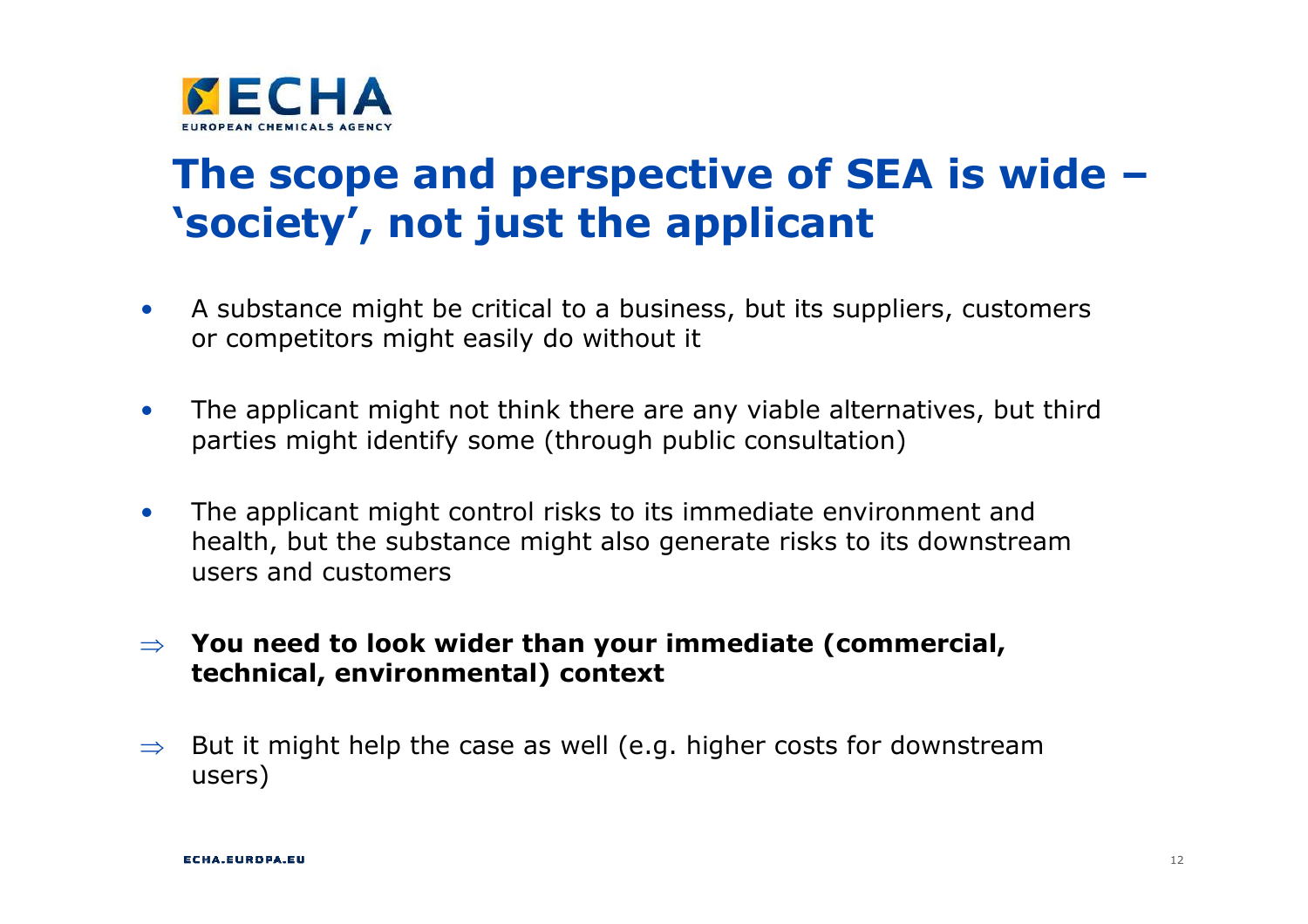

# **The scope and perspective of SEA is wide –'society', not just the applicant**

- $\bullet$  A substance might be critical to a business, but its suppliers, customers or competitors might easily do without it
- • The applicant might not think there are any viable alternatives, but third parties might identify some (through public consultation)
- $\bullet$  The applicant might control risks to its immediate environment and health, but the substance might also generate risks to its downstream users and customers
- ⇒ **You need to look wider than your immediate (commercial, technical, environmental) context**
- ⇒ But it might help the case as well (e.g. higher costs for downstream users)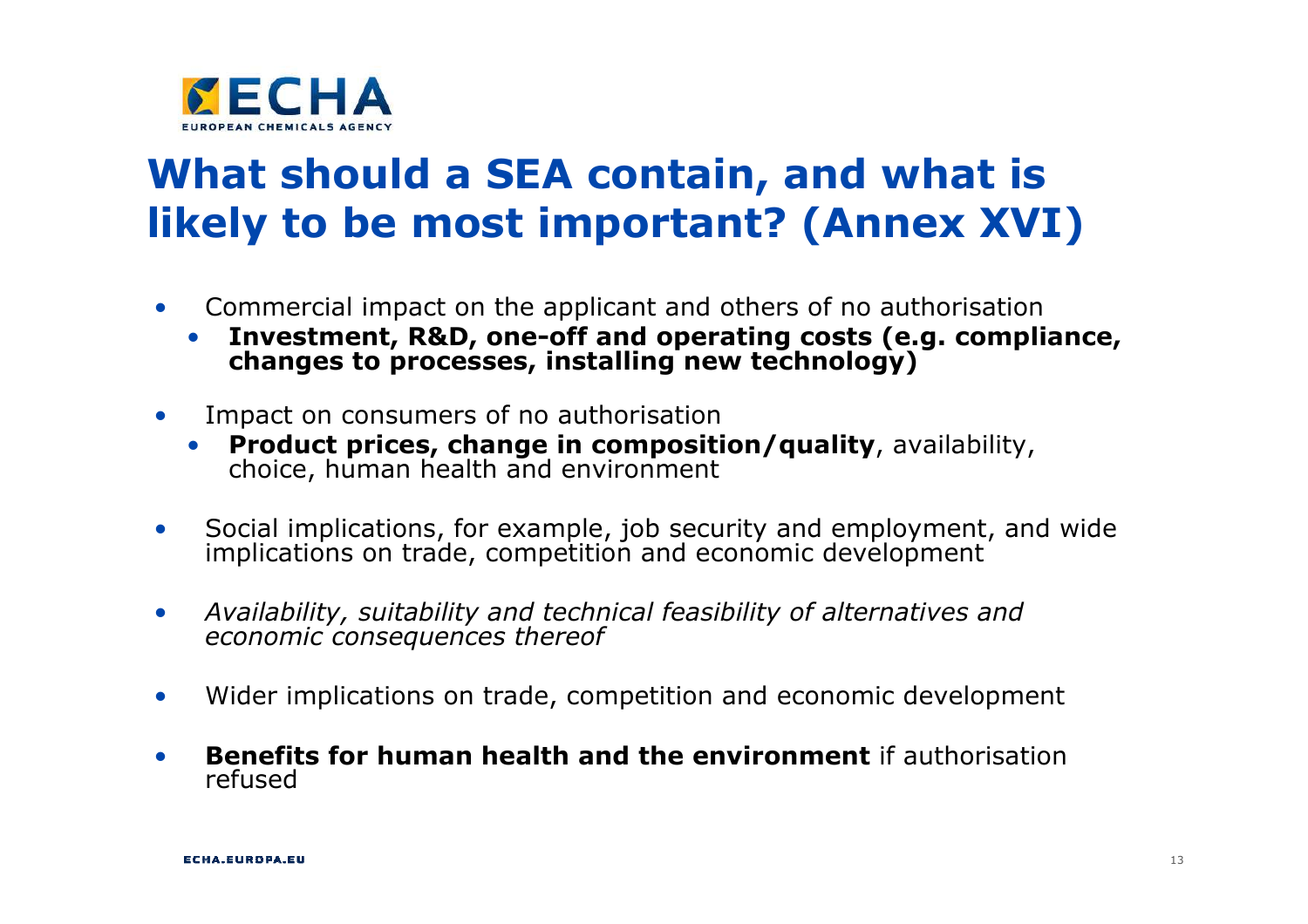

## **What should a SEA contain, and what is likely to be most important? (Annex XVI)**

- • Commercial impact on the applicant and others of no authorisation
	- **Investment, R&D, one-off and operating costs (e.g. compliance, changes to processes, installing new technology)**•
- • Impact on consumers of no authorisation
	- **Product prices, change in composition/quality**, availability, choice, human health and environment
- •Social implications, for example, job security and employment, and wide implications on trade, competition and economic development
- $\bullet$ *Availability, suitability and technical feasibility of alternatives and economic consequences thereof*
- $\bullet$ Wider implications on trade, competition and economic development
- • **Benefits for human health and the environment** if authorisation refused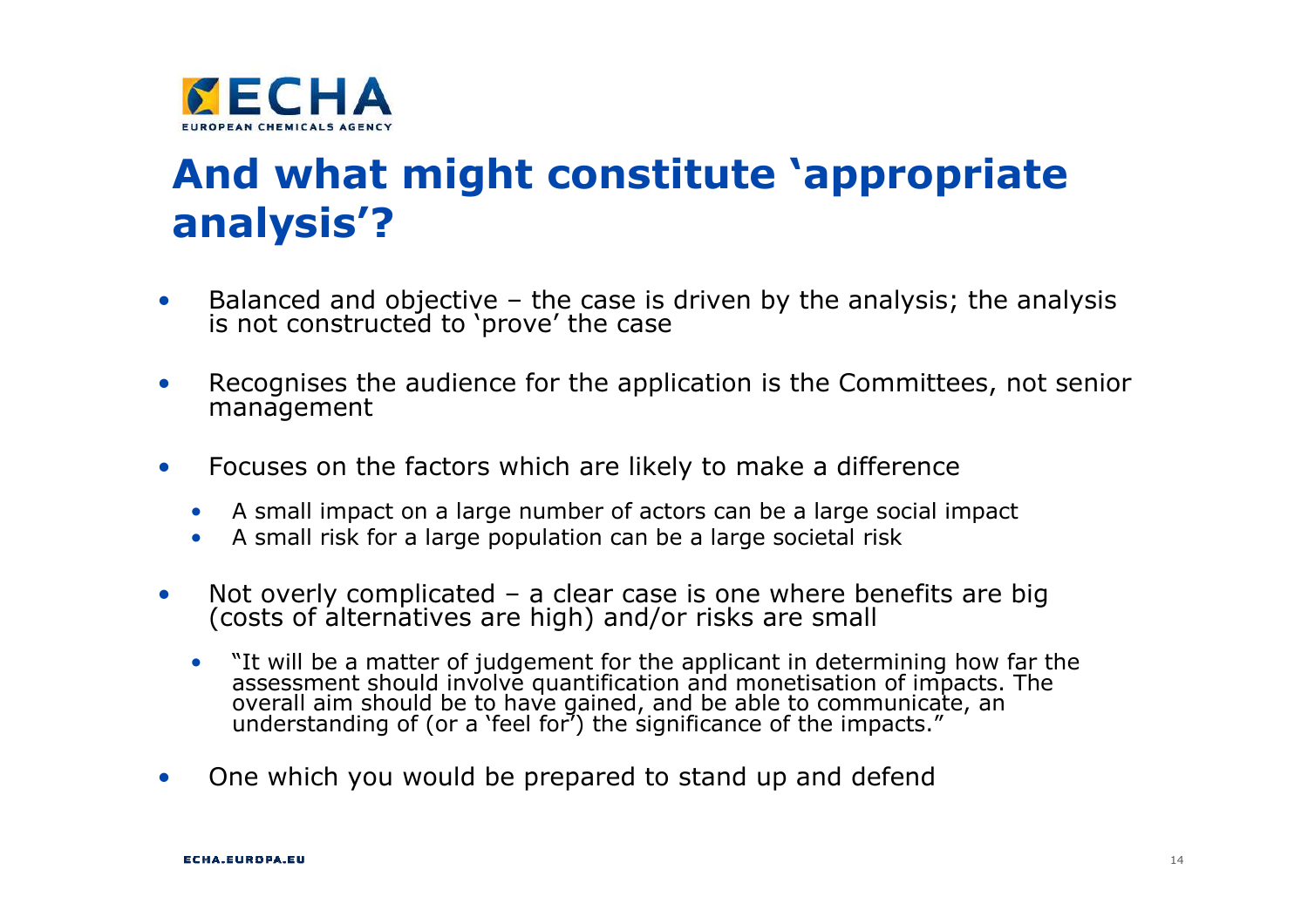

## **And what might constitute 'appropriate analysis'?**

- •Balanced and objective – the case is driven by the analysis; the analysis is not constructed to 'prove' the case
- • Recognises the audience for the application is the Committees, not senior management
- • Focuses on the factors which are likely to make a difference
	- A small impact on a large number of actors can be a large social impact<br>• A small risk for a large population can be a large societal risk
	- A small risk for a large population can be a large societal risk
- $\bullet$  Not overly complicated – a clear case is one where benefits are big (costs of alternatives are high) and/or risks are small
	- •"It will be a matter of judgement for the applicant in determining how far the assessment should involve quantification and monetisation of impacts. The overall aim should be to have gained, and be able to communicate, an
- $\bullet$ One which you would be prepared to stand up and defend